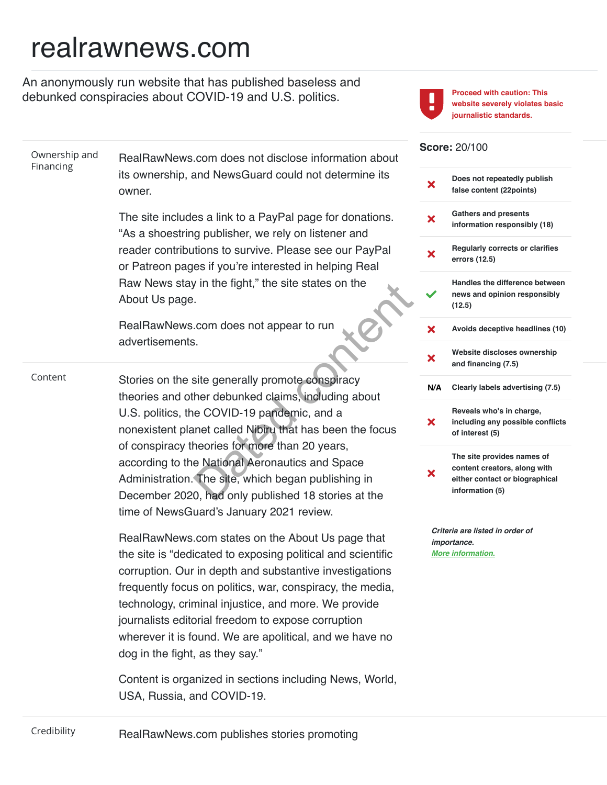## realrawnews.com

Ownership and **Financing** 

An anonymously run website that has published baseless and debunked conspiracies about COVID-19 and U.S. politics.

RealRawNews.com does not disclose information about



Proceed with caution: This website severely violates basic journalistic standards.

## Score: 20/100

|     | Does not repeatedly publish<br>false content (22points)                                                         |
|-----|-----------------------------------------------------------------------------------------------------------------|
| x   | <b>Gathers and presents</b><br>information responsibly (18)                                                     |
| Х   | <b>Regularly corrects or clarifies</b><br>errors (12.5)                                                         |
|     | Handles the difference between<br>news and opinion responsibly<br>(12.5)                                        |
| X   | Avoids deceptive headlines (10)                                                                                 |
| X   | Website discloses ownership<br>and financing (7.5)                                                              |
| N/A | Clearly labels advertising (7.5)                                                                                |
| Х   | Reveals who's in charge,<br>including any possible conflicts<br>of interest (5)                                 |
| X   | The site provides names of<br>content creators, along with<br>either contact or biographical<br>information (5) |
|     | Criteria are listed in order of                                                                                 |

nportance. **The autor of the Union of the Street Street Street Street Street Street Street Street Street Street Street Street** 

| Financing | its ownership, and NewsGuard could not determine its<br>owner.                                                                                                                                                                                                                                                                                                                                                                                      | $\boldsymbol{\mathsf{x}}$          |
|-----------|-----------------------------------------------------------------------------------------------------------------------------------------------------------------------------------------------------------------------------------------------------------------------------------------------------------------------------------------------------------------------------------------------------------------------------------------------------|------------------------------------|
|           | The site includes a link to a PayPal page for donations.<br>"As a shoestring publisher, we rely on listener and                                                                                                                                                                                                                                                                                                                                     | $\boldsymbol{\mathsf{x}}$          |
|           | reader contributions to survive. Please see our PayPal<br>or Patreon pages if you're interested in helping Real                                                                                                                                                                                                                                                                                                                                     | $\boldsymbol{\mathsf{x}}$          |
|           | Raw News stay in the fight," the site states on the<br>About Us page.                                                                                                                                                                                                                                                                                                                                                                               |                                    |
|           | RealRawNews.com does not appear to run<br>advertisements.                                                                                                                                                                                                                                                                                                                                                                                           | ×<br>$\boldsymbol{\mathsf{x}}$     |
| Content   | Stories on the site generally promote conspiracy<br>theories and other debunked claims, including about                                                                                                                                                                                                                                                                                                                                             | N/                                 |
|           | U.S. politics, the COVID-19 pandemic, and a<br>nonexistent planet called Nibiru that has been the focus                                                                                                                                                                                                                                                                                                                                             | $\boldsymbol{\mathsf{x}}$          |
|           | of conspiracy theories for more than 20 years,<br>according to the National Aeronautics and Space<br>Administration. The site, which began publishing in<br>December 2020, had only published 18 stories at the<br>time of NewsGuard's January 2021 review.                                                                                                                                                                                         | ×                                  |
|           | RealRawNews.com states on the About Us page that<br>the site is "dedicated to exposing political and scientific<br>corruption. Our in depth and substantive investigations<br>frequently focus on politics, war, conspiracy, the media,<br>technology, criminal injustice, and more. We provide<br>journalists editorial freedom to expose corruption<br>wherever it is found. We are apolitical, and we have no<br>dog in the fight, as they say." | $\mathcal C$<br>ir<br>$\mathbf{N}$ |
|           | Content is organized in sections including News, World,<br>USA, Russia, and COVID-19.                                                                                                                                                                                                                                                                                                                                                               |                                    |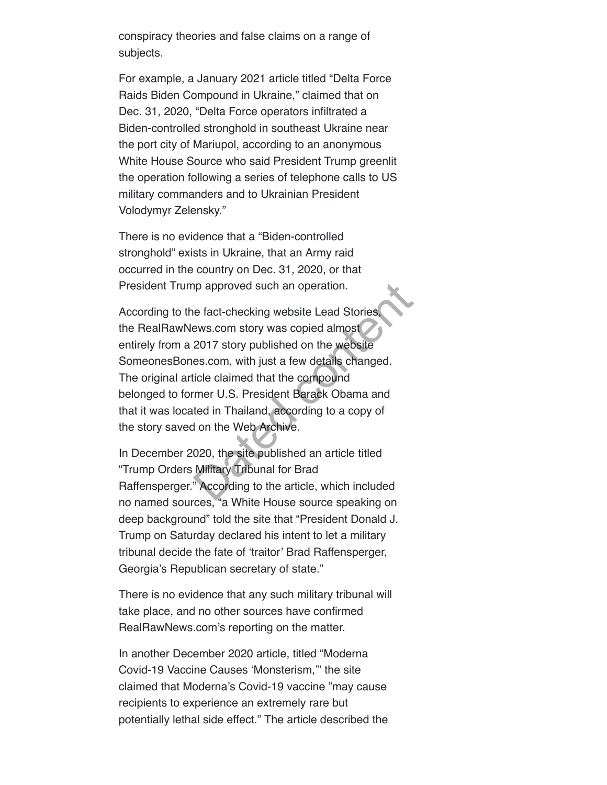conspiracy theories and false claims on a range of subjects.

For example, a January 2021 article titled "Delta Force Raids Biden Compound in Ukraine," claimed that on Dec. 31, 2020, "Delta Force operators infiltrated a Biden-controlled stronghold in southeast Ukraine near the port city of Mariupol, according to an anonymous White House Source who said President Trump greenlit the operation following a series of telephone calls to US military commanders and to Ukrainian President Volodymyr Zelensky."

There is no evidence that a "Biden-controlled stronghold" exists in Ukraine, that an Army raid occurred in the country on Dec. 31, 2020, or that President Trump approved such an operation.

According to the fact-checking website Lead Stories, the RealRawNews.com story was copied almost entirely from a 2017 story published on the website SomeonesBones.com, with just a few details changed. The original article claimed that the compound belonged to former U.S. President Barack Obama and that it was located in Thailand, according to a copy of the story saved on the Web Archive. in approved such an operation.<br>
Le fact-checking website Lead Stories<br>
Ews.com story was copied almost<br>
2017 story published on the website<br>
es.com, with just a few details changed.<br>
icle claimed that the compound<br>
mer U.S

In December 2020, the site published an article titled "Trump Orders Military Tribunal for Brad Raffensperger." According to the article, which included no named sources, "a White House source speaking on deep background" told the site that "President Donald J. Trump on Saturday declared his intent to let a military tribunal decide the fate of 'traitor' Brad Raffensperger, Georgia's Republican secretary of state."

There is no evidence that any such military tribunal will take place, and no other sources have confirmed RealRawNews.com's reporting on the matter.

In another December 2020 article, titled "Moderna Covid-19 Vaccine Causes 'Monsterism,'" the site claimed that Moderna's Covid-19 vaccine "may cause recipients to experience an extremely rare but potentially lethal side effect." The article described the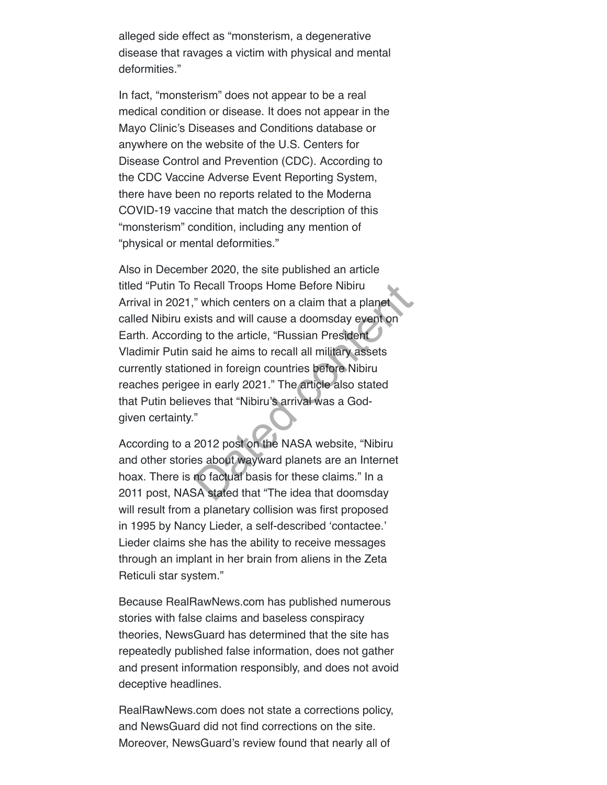alleged side effect as "monsterism, a degenerative disease that ravages a victim with physical and mental deformities."

In fact, "monsterism" does not appear to be a real medical condition or disease. It does not appear in the Mayo Clinic's Diseases and Conditions database or anywhere on the website of the U.S. Centers for Disease Control and Prevention (CDC). According to the CDC Vaccine Adverse Event Reporting System, there have been no reports related to the Moderna COVID-19 vaccine that match the description of this "monsterism" condition, including any mention of "physical or mental deformities."

Also in December 2020, the site published an article titled "Putin To Recall Troops Home Before Nibiru Arrival in 2021," which centers on a claim that a planet called Nibiru exists and will cause a doomsday event on Earth. According to the article, "Russian President Vladimir Putin said he aims to recall all military assets currently stationed in foreign countries before Nibiru reaches perigee in early 2021." The article also stated that Putin believes that "Nibiru's arrival was a Godgiven certainty." Recall Troops Home Before Nibiru<br>
" which centers on a claim that a planet<br>
sists and will cause a doomsday event on<br>
ng to the article, "Russian President<br>
said he aims to recall all military assets<br>
ned in foreign countr

According to a 2012 post on the NASA website, "Nibiru and other stories about wayward planets are an Internet hoax. There is no factual basis for these claims." In a 2011 post, NASA stated that "The idea that doomsday will result from a planetary collision was first proposed in 1995 by Nancy Lieder, a self-described 'contactee.' Lieder claims she has the ability to receive messages through an implant in her brain from aliens in the Zeta Reticuli star system."

Because RealRawNews.com has published numerous stories with false claims and baseless conspiracy theories, NewsGuard has determined that the site has repeatedly published false information, does not gather and present information responsibly, and does not avoid deceptive headlines.

RealRawNews.com does not state a corrections policy, and NewsGuard did not find corrections on the site. Moreover, NewsGuard's review found that nearly all of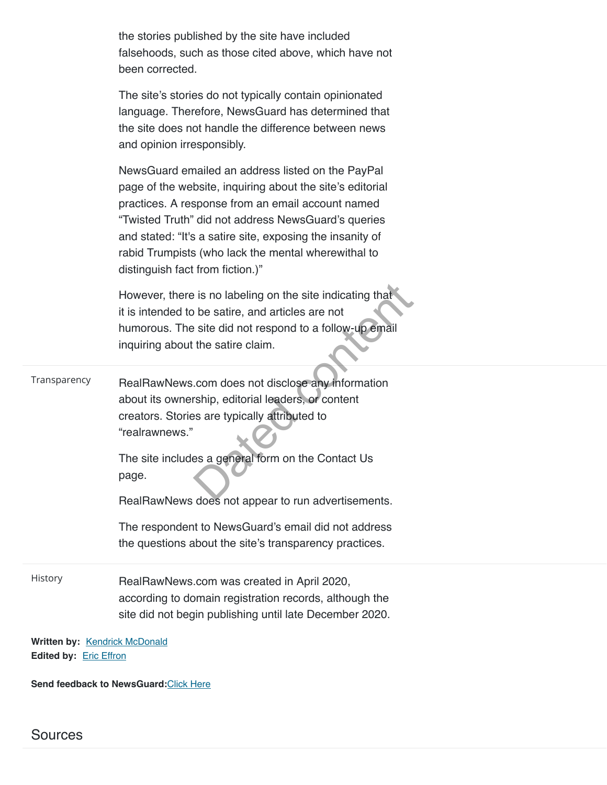|              | RealRawNews does not appear to run advertisements.<br>The respondent to NewsGuard's email did not address<br>the questions about the site's transparency practices.                                                                                                                                                                                                                |
|--------------|------------------------------------------------------------------------------------------------------------------------------------------------------------------------------------------------------------------------------------------------------------------------------------------------------------------------------------------------------------------------------------|
| Transparency | RealRawNews.com does not disclose any information<br>about its ownership, editorial leaders, or content<br>creators. Stories are typically attributed to<br>"realrawnews."<br>The site includes a general form on the Contact Us<br>page.                                                                                                                                          |
|              | However, there is no labeling on the site indicating that<br>it is intended to be satire, and articles are not<br>humorous. The site did not respond to a follow-up email<br>inquiring about the satire claim.                                                                                                                                                                     |
|              | NewsGuard emailed an address listed on the PayPal<br>page of the website, inquiring about the site's editorial<br>practices. A response from an email account named<br>"Twisted Truth" did not address NewsGuard's queries<br>and stated: "It's a satire site, exposing the insanity of<br>rabid Trumpists (who lack the mental wherewithal to<br>distinguish fact from fiction.)" |
|              | The site's stories do not typically contain opinionated<br>language. Therefore, NewsGuard has determined that<br>the site does not handle the difference between news<br>and opinion irresponsibly.                                                                                                                                                                                |
|              | the stories published by the site have included<br>falsehoods, such as those cited above, which have not<br>been corrected.                                                                                                                                                                                                                                                        |

Send feedback to NewsGuard: Click Here

Sources